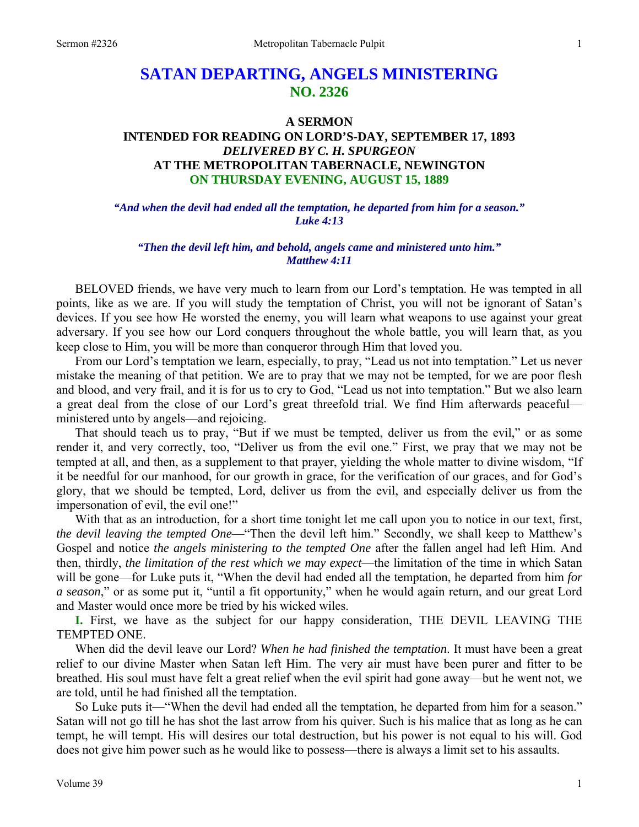# **SATAN DEPARTING, ANGELS MINISTERING NO. 2326**

## **A SERMON**

## **INTENDED FOR READING ON LORD'S-DAY, SEPTEMBER 17, 1893**  *DELIVERED BY C. H. SPURGEON*  **AT THE METROPOLITAN TABERNACLE, NEWINGTON ON THURSDAY EVENING, AUGUST 15, 1889**

*"And when the devil had ended all the temptation, he departed from him for a season." Luke 4:13* 

## *"Then the devil left him, and behold, angels came and ministered unto him." Matthew 4:11*

BELOVED friends, we have very much to learn from our Lord's temptation. He was tempted in all points, like as we are. If you will study the temptation of Christ, you will not be ignorant of Satan's devices. If you see how He worsted the enemy, you will learn what weapons to use against your great adversary. If you see how our Lord conquers throughout the whole battle, you will learn that, as you keep close to Him, you will be more than conqueror through Him that loved you.

From our Lord's temptation we learn, especially, to pray, "Lead us not into temptation." Let us never mistake the meaning of that petition. We are to pray that we may not be tempted, for we are poor flesh and blood, and very frail, and it is for us to cry to God, "Lead us not into temptation." But we also learn a great deal from the close of our Lord's great threefold trial. We find Him afterwards peaceful ministered unto by angels—and rejoicing.

That should teach us to pray, "But if we must be tempted, deliver us from the evil," or as some render it, and very correctly, too, "Deliver us from the evil one." First, we pray that we may not be tempted at all, and then, as a supplement to that prayer, yielding the whole matter to divine wisdom, "If it be needful for our manhood, for our growth in grace, for the verification of our graces, and for God's glory, that we should be tempted, Lord, deliver us from the evil, and especially deliver us from the impersonation of evil, the evil one!"

With that as an introduction, for a short time tonight let me call upon you to notice in our text, first, *the devil leaving the tempted One*—"Then the devil left him." Secondly, we shall keep to Matthew's Gospel and notice *the angels ministering to the tempted One* after the fallen angel had left Him. And then, thirdly, *the limitation of the rest which we may expect*—the limitation of the time in which Satan will be gone—for Luke puts it, "When the devil had ended all the temptation, he departed from him *for a* s*eason*," or as some put it, "until a fit opportunity," when he would again return, and our great Lord and Master would once more be tried by his wicked wiles.

**I.** First, we have as the subject for our happy consideration, THE DEVIL LEAVING THE TEMPTED ONE.

When did the devil leave our Lord? *When he had finished the temptation*. It must have been a great relief to our divine Master when Satan left Him. The very air must have been purer and fitter to be breathed. His soul must have felt a great relief when the evil spirit had gone away—but he went not, we are told, until he had finished all the temptation.

So Luke puts it—"When the devil had ended all the temptation, he departed from him for a season." Satan will not go till he has shot the last arrow from his quiver. Such is his malice that as long as he can tempt, he will tempt. His will desires our total destruction, but his power is not equal to his will. God does not give him power such as he would like to possess—there is always a limit set to his assaults.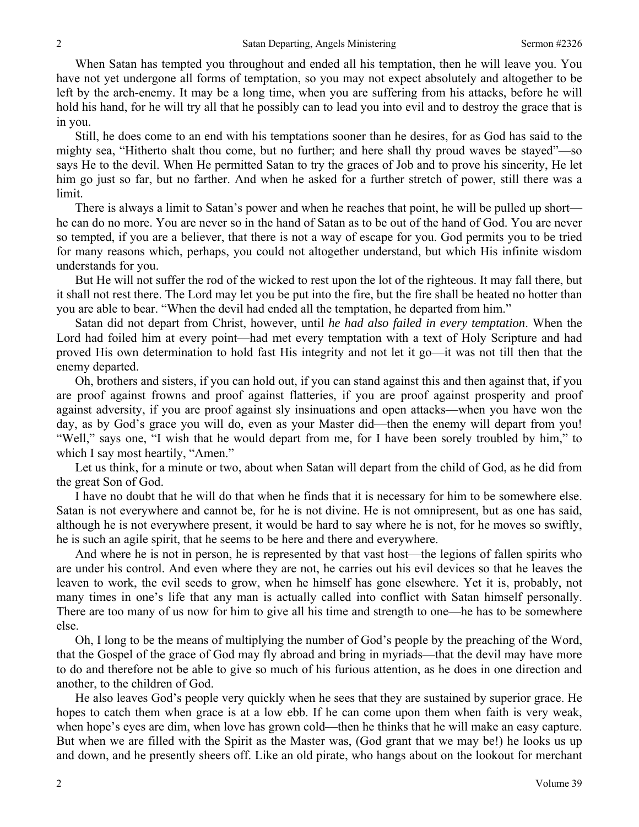When Satan has tempted you throughout and ended all his temptation, then he will leave you. You have not yet undergone all forms of temptation, so you may not expect absolutely and altogether to be left by the arch-enemy. It may be a long time, when you are suffering from his attacks, before he will hold his hand, for he will try all that he possibly can to lead you into evil and to destroy the grace that is in you.

Still, he does come to an end with his temptations sooner than he desires, for as God has said to the mighty sea, "Hitherto shalt thou come, but no further; and here shall thy proud waves be stayed"—so says He to the devil. When He permitted Satan to try the graces of Job and to prove his sincerity, He let him go just so far, but no farther. And when he asked for a further stretch of power, still there was a limit.

There is always a limit to Satan's power and when he reaches that point, he will be pulled up short he can do no more. You are never so in the hand of Satan as to be out of the hand of God. You are never so tempted, if you are a believer, that there is not a way of escape for you. God permits you to be tried for many reasons which, perhaps, you could not altogether understand, but which His infinite wisdom understands for you.

But He will not suffer the rod of the wicked to rest upon the lot of the righteous. It may fall there, but it shall not rest there. The Lord may let you be put into the fire, but the fire shall be heated no hotter than you are able to bear. "When the devil had ended all the temptation, he departed from him."

Satan did not depart from Christ, however, until *he had also failed in every temptation*. When the Lord had foiled him at every point—had met every temptation with a text of Holy Scripture and had proved His own determination to hold fast His integrity and not let it go—it was not till then that the enemy departed.

Oh, brothers and sisters, if you can hold out, if you can stand against this and then against that, if you are proof against frowns and proof against flatteries, if you are proof against prosperity and proof against adversity, if you are proof against sly insinuations and open attacks—when you have won the day, as by God's grace you will do, even as your Master did—then the enemy will depart from you! "Well," says one, "I wish that he would depart from me, for I have been sorely troubled by him," to which I say most heartily, "Amen."

Let us think, for a minute or two, about when Satan will depart from the child of God, as he did from the great Son of God.

I have no doubt that he will do that when he finds that it is necessary for him to be somewhere else. Satan is not everywhere and cannot be, for he is not divine. He is not omnipresent, but as one has said, although he is not everywhere present, it would be hard to say where he is not, for he moves so swiftly, he is such an agile spirit, that he seems to be here and there and everywhere.

And where he is not in person, he is represented by that vast host—the legions of fallen spirits who are under his control. And even where they are not, he carries out his evil devices so that he leaves the leaven to work, the evil seeds to grow, when he himself has gone elsewhere. Yet it is, probably, not many times in one's life that any man is actually called into conflict with Satan himself personally. There are too many of us now for him to give all his time and strength to one—he has to be somewhere else.

Oh, I long to be the means of multiplying the number of God's people by the preaching of the Word, that the Gospel of the grace of God may fly abroad and bring in myriads—that the devil may have more to do and therefore not be able to give so much of his furious attention, as he does in one direction and another, to the children of God.

He also leaves God's people very quickly when he sees that they are sustained by superior grace. He hopes to catch them when grace is at a low ebb. If he can come upon them when faith is very weak, when hope's eyes are dim, when love has grown cold—then he thinks that he will make an easy capture. But when we are filled with the Spirit as the Master was, (God grant that we may be!) he looks us up and down, and he presently sheers off. Like an old pirate, who hangs about on the lookout for merchant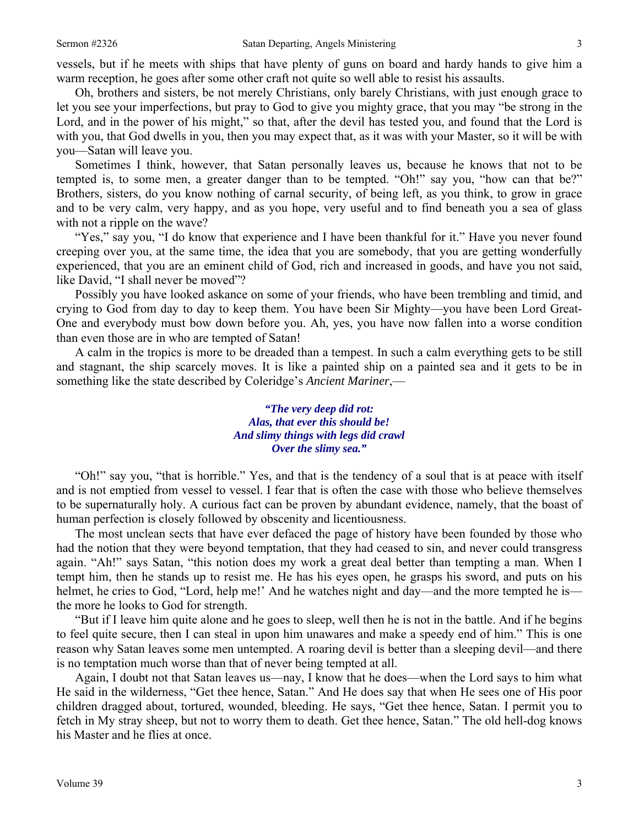vessels, but if he meets with ships that have plenty of guns on board and hardy hands to give him a warm reception, he goes after some other craft not quite so well able to resist his assaults.

Oh, brothers and sisters, be not merely Christians, only barely Christians, with just enough grace to let you see your imperfections, but pray to God to give you mighty grace, that you may "be strong in the Lord, and in the power of his might," so that, after the devil has tested you, and found that the Lord is with you, that God dwells in you, then you may expect that, as it was with your Master, so it will be with you—Satan will leave you.

Sometimes I think, however, that Satan personally leaves us, because he knows that not to be tempted is, to some men, a greater danger than to be tempted. "Oh!" say you, "how can that be?" Brothers, sisters, do you know nothing of carnal security, of being left, as you think, to grow in grace and to be very calm, very happy, and as you hope, very useful and to find beneath you a sea of glass with not a ripple on the wave?

"Yes," say you, "I do know that experience and I have been thankful for it." Have you never found creeping over you, at the same time, the idea that you are somebody, that you are getting wonderfully experienced, that you are an eminent child of God, rich and increased in goods, and have you not said, like David, "I shall never be moved"?

Possibly you have looked askance on some of your friends, who have been trembling and timid, and crying to God from day to day to keep them. You have been Sir Mighty—you have been Lord Great-One and everybody must bow down before you. Ah, yes, you have now fallen into a worse condition than even those are in who are tempted of Satan!

A calm in the tropics is more to be dreaded than a tempest. In such a calm everything gets to be still and stagnant, the ship scarcely moves. It is like a painted ship on a painted sea and it gets to be in something like the state described by Coleridge's *Ancient Mariner*,—

## *"The very deep did rot: Alas, that ever this should be! And slimy things with legs did crawl Over the slimy sea."*

"Oh!" say you, "that is horrible." Yes, and that is the tendency of a soul that is at peace with itself and is not emptied from vessel to vessel. I fear that is often the case with those who believe themselves to be supernaturally holy. A curious fact can be proven by abundant evidence, namely, that the boast of human perfection is closely followed by obscenity and licentiousness.

The most unclean sects that have ever defaced the page of history have been founded by those who had the notion that they were beyond temptation, that they had ceased to sin, and never could transgress again. "Ah!" says Satan, "this notion does my work a great deal better than tempting a man. When I tempt him, then he stands up to resist me. He has his eyes open, he grasps his sword, and puts on his helmet, he cries to God, "Lord, help me!' And he watches night and day—and the more tempted he is the more he looks to God for strength.

"But if I leave him quite alone and he goes to sleep, well then he is not in the battle. And if he begins to feel quite secure, then I can steal in upon him unawares and make a speedy end of him." This is one reason why Satan leaves some men untempted. A roaring devil is better than a sleeping devil—and there is no temptation much worse than that of never being tempted at all.

Again, I doubt not that Satan leaves us—nay, I know that he does—when the Lord says to him what He said in the wilderness, "Get thee hence, Satan." And He does say that when He sees one of His poor children dragged about, tortured, wounded, bleeding. He says, "Get thee hence, Satan. I permit you to fetch in My stray sheep, but not to worry them to death. Get thee hence, Satan." The old hell-dog knows his Master and he flies at once.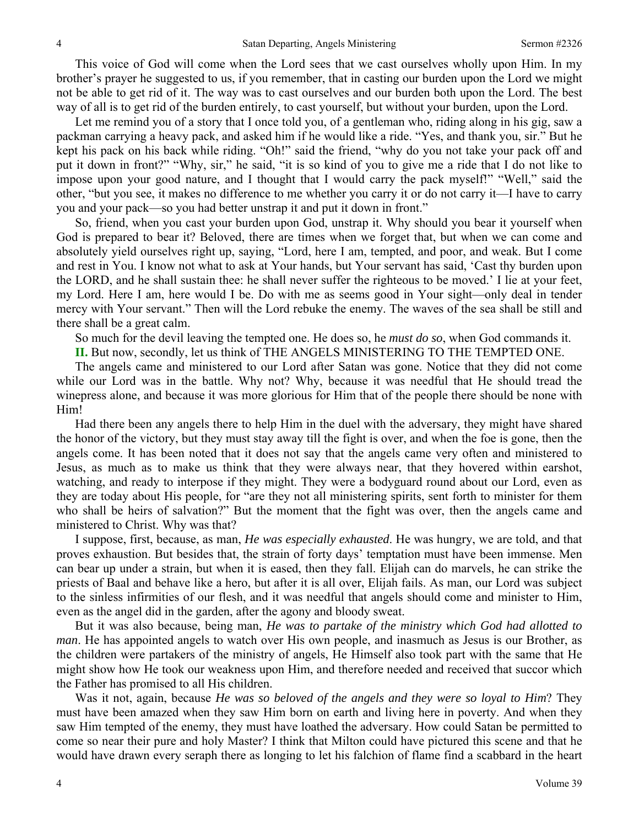This voice of God will come when the Lord sees that we cast ourselves wholly upon Him. In my brother's prayer he suggested to us, if you remember, that in casting our burden upon the Lord we might not be able to get rid of it. The way was to cast ourselves and our burden both upon the Lord. The best way of all is to get rid of the burden entirely, to cast yourself, but without your burden, upon the Lord.

Let me remind you of a story that I once told you, of a gentleman who, riding along in his gig, saw a packman carrying a heavy pack, and asked him if he would like a ride. "Yes, and thank you, sir." But he kept his pack on his back while riding. "Oh!" said the friend, "why do you not take your pack off and put it down in front?" "Why, sir," he said, "it is so kind of you to give me a ride that I do not like to impose upon your good nature, and I thought that I would carry the pack myself!" "Well," said the other, "but you see, it makes no difference to me whether you carry it or do not carry it—I have to carry you and your pack—so you had better unstrap it and put it down in front."

So, friend, when you cast your burden upon God, unstrap it. Why should you bear it yourself when God is prepared to bear it? Beloved, there are times when we forget that, but when we can come and absolutely yield ourselves right up, saying, "Lord, here I am, tempted, and poor, and weak. But I come and rest in You. I know not what to ask at Your hands, but Your servant has said, 'Cast thy burden upon the LORD, and he shall sustain thee: he shall never suffer the righteous to be moved.' I lie at your feet, my Lord. Here I am, here would I be. Do with me as seems good in Your sight—only deal in tender mercy with Your servant." Then will the Lord rebuke the enemy. The waves of the sea shall be still and there shall be a great calm.

So much for the devil leaving the tempted one. He does so, he *must do so*, when God commands it.

**II.** But now, secondly, let us think of THE ANGELS MINISTERING TO THE TEMPTED ONE.

The angels came and ministered to our Lord after Satan was gone. Notice that they did not come while our Lord was in the battle. Why not? Why, because it was needful that He should tread the winepress alone, and because it was more glorious for Him that of the people there should be none with Him!

Had there been any angels there to help Him in the duel with the adversary, they might have shared the honor of the victory, but they must stay away till the fight is over, and when the foe is gone, then the angels come. It has been noted that it does not say that the angels came very often and ministered to Jesus, as much as to make us think that they were always near, that they hovered within earshot, watching, and ready to interpose if they might. They were a bodyguard round about our Lord, even as they are today about His people, for "are they not all ministering spirits, sent forth to minister for them who shall be heirs of salvation?" But the moment that the fight was over, then the angels came and ministered to Christ. Why was that?

I suppose, first, because, as man, *He was especially exhausted*. He was hungry, we are told, and that proves exhaustion. But besides that, the strain of forty days' temptation must have been immense. Men can bear up under a strain, but when it is eased, then they fall. Elijah can do marvels, he can strike the priests of Baal and behave like a hero, but after it is all over, Elijah fails. As man, our Lord was subject to the sinless infirmities of our flesh, and it was needful that angels should come and minister to Him, even as the angel did in the garden, after the agony and bloody sweat.

But it was also because, being man, *He was to partake of the ministry which God had allotted to man*. He has appointed angels to watch over His own people, and inasmuch as Jesus is our Brother, as the children were partakers of the ministry of angels, He Himself also took part with the same that He might show how He took our weakness upon Him, and therefore needed and received that succor which the Father has promised to all His children.

Was it not, again, because *He was so beloved of the angels and they were so loyal to Him*? They must have been amazed when they saw Him born on earth and living here in poverty. And when they saw Him tempted of the enemy, they must have loathed the adversary. How could Satan be permitted to come so near their pure and holy Master? I think that Milton could have pictured this scene and that he would have drawn every seraph there as longing to let his falchion of flame find a scabbard in the heart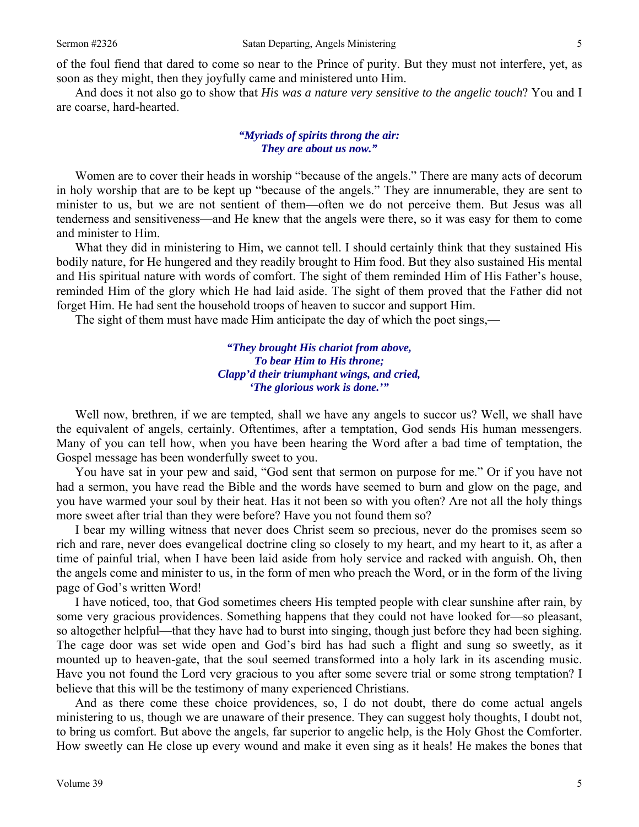of the foul fiend that dared to come so near to the Prince of purity. But they must not interfere, yet, as soon as they might, then they joyfully came and ministered unto Him.

And does it not also go to show that *His was a nature very sensitive to the angelic touch*? You and I are coarse, hard-hearted.

#### *"Myriads of spirits throng the air: They are about us now."*

Women are to cover their heads in worship "because of the angels." There are many acts of decorum in holy worship that are to be kept up "because of the angels." They are innumerable, they are sent to minister to us, but we are not sentient of them—often we do not perceive them. But Jesus was all tenderness and sensitiveness—and He knew that the angels were there, so it was easy for them to come and minister to Him.

What they did in ministering to Him, we cannot tell. I should certainly think that they sustained His bodily nature, for He hungered and they readily brought to Him food. But they also sustained His mental and His spiritual nature with words of comfort. The sight of them reminded Him of His Father's house, reminded Him of the glory which He had laid aside. The sight of them proved that the Father did not forget Him. He had sent the household troops of heaven to succor and support Him.

The sight of them must have made Him anticipate the day of which the poet sings,—

*"They brought His chariot from above, To bear Him to His throne; Clapp'd their triumphant wings, and cried, 'The glorious work is done.'"* 

Well now, brethren, if we are tempted, shall we have any angels to succor us? Well, we shall have the equivalent of angels, certainly. Oftentimes, after a temptation, God sends His human messengers. Many of you can tell how, when you have been hearing the Word after a bad time of temptation, the Gospel message has been wonderfully sweet to you.

You have sat in your pew and said, "God sent that sermon on purpose for me." Or if you have not had a sermon, you have read the Bible and the words have seemed to burn and glow on the page, and you have warmed your soul by their heat. Has it not been so with you often? Are not all the holy things more sweet after trial than they were before? Have you not found them so?

I bear my willing witness that never does Christ seem so precious, never do the promises seem so rich and rare, never does evangelical doctrine cling so closely to my heart, and my heart to it, as after a time of painful trial, when I have been laid aside from holy service and racked with anguish. Oh, then the angels come and minister to us, in the form of men who preach the Word, or in the form of the living page of God's written Word!

I have noticed, too, that God sometimes cheers His tempted people with clear sunshine after rain, by some very gracious providences. Something happens that they could not have looked for—so pleasant, so altogether helpful—that they have had to burst into singing, though just before they had been sighing. The cage door was set wide open and God's bird has had such a flight and sung so sweetly, as it mounted up to heaven-gate, that the soul seemed transformed into a holy lark in its ascending music. Have you not found the Lord very gracious to you after some severe trial or some strong temptation? I believe that this will be the testimony of many experienced Christians.

And as there come these choice providences, so, I do not doubt, there do come actual angels ministering to us, though we are unaware of their presence. They can suggest holy thoughts, I doubt not, to bring us comfort. But above the angels, far superior to angelic help, is the Holy Ghost the Comforter. How sweetly can He close up every wound and make it even sing as it heals! He makes the bones that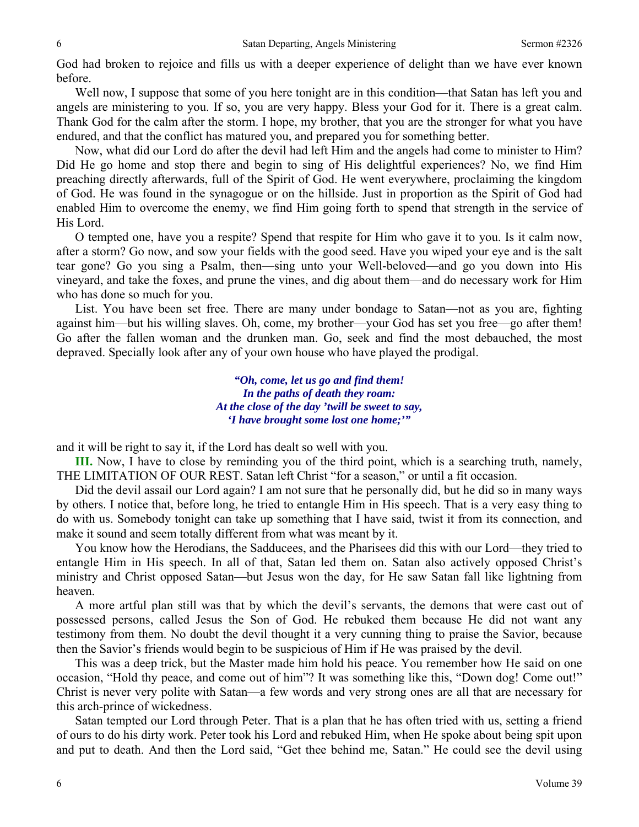God had broken to rejoice and fills us with a deeper experience of delight than we have ever known before.

Well now, I suppose that some of you here tonight are in this condition—that Satan has left you and angels are ministering to you. If so, you are very happy. Bless your God for it. There is a great calm. Thank God for the calm after the storm. I hope, my brother, that you are the stronger for what you have endured, and that the conflict has matured you, and prepared you for something better.

Now, what did our Lord do after the devil had left Him and the angels had come to minister to Him? Did He go home and stop there and begin to sing of His delightful experiences? No, we find Him preaching directly afterwards, full of the Spirit of God. He went everywhere, proclaiming the kingdom of God. He was found in the synagogue or on the hillside. Just in proportion as the Spirit of God had enabled Him to overcome the enemy, we find Him going forth to spend that strength in the service of His Lord.

O tempted one, have you a respite? Spend that respite for Him who gave it to you. Is it calm now, after a storm? Go now, and sow your fields with the good seed. Have you wiped your eye and is the salt tear gone? Go you sing a Psalm, then—sing unto your Well-beloved—and go you down into His vineyard, and take the foxes, and prune the vines, and dig about them—and do necessary work for Him who has done so much for you.

List. You have been set free. There are many under bondage to Satan—not as you are, fighting against him—but his willing slaves. Oh, come, my brother—your God has set you free—go after them! Go after the fallen woman and the drunken man. Go, seek and find the most debauched, the most depraved. Specially look after any of your own house who have played the prodigal.

> *"Oh, come, let us go and find them! In the paths of death they roam: At the close of the day 'twill be sweet to say, 'I have brought some lost one home;'"*

and it will be right to say it, if the Lord has dealt so well with you.

**III.** Now, I have to close by reminding you of the third point, which is a searching truth, namely, THE LIMITATION OF OUR REST. Satan left Christ "for a season," or until a fit occasion.

Did the devil assail our Lord again? I am not sure that he personally did, but he did so in many ways by others. I notice that, before long, he tried to entangle Him in His speech. That is a very easy thing to do with us. Somebody tonight can take up something that I have said, twist it from its connection, and make it sound and seem totally different from what was meant by it.

You know how the Herodians, the Sadducees, and the Pharisees did this with our Lord—they tried to entangle Him in His speech. In all of that, Satan led them on. Satan also actively opposed Christ's ministry and Christ opposed Satan—but Jesus won the day, for He saw Satan fall like lightning from heaven.

A more artful plan still was that by which the devil's servants, the demons that were cast out of possessed persons, called Jesus the Son of God. He rebuked them because He did not want any testimony from them. No doubt the devil thought it a very cunning thing to praise the Savior, because then the Savior's friends would begin to be suspicious of Him if He was praised by the devil.

This was a deep trick, but the Master made him hold his peace. You remember how He said on one occasion, "Hold thy peace, and come out of him"? It was something like this, "Down dog! Come out!" Christ is never very polite with Satan—a few words and very strong ones are all that are necessary for this arch-prince of wickedness.

Satan tempted our Lord through Peter. That is a plan that he has often tried with us, setting a friend of ours to do his dirty work. Peter took his Lord and rebuked Him, when He spoke about being spit upon and put to death. And then the Lord said, "Get thee behind me, Satan." He could see the devil using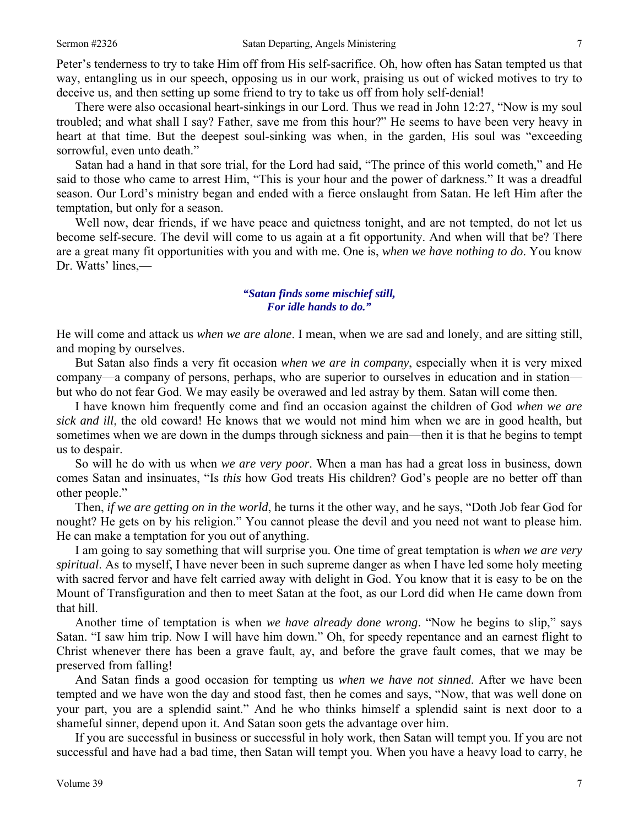Peter's tenderness to try to take Him off from His self-sacrifice. Oh, how often has Satan tempted us that way, entangling us in our speech, opposing us in our work, praising us out of wicked motives to try to deceive us, and then setting up some friend to try to take us off from holy self-denial!

There were also occasional heart-sinkings in our Lord. Thus we read in John 12:27, "Now is my soul troubled; and what shall I say? Father, save me from this hour?" He seems to have been very heavy in heart at that time. But the deepest soul-sinking was when, in the garden, His soul was "exceeding sorrowful, even unto death."

Satan had a hand in that sore trial, for the Lord had said, "The prince of this world cometh," and He said to those who came to arrest Him, "This is your hour and the power of darkness." It was a dreadful season. Our Lord's ministry began and ended with a fierce onslaught from Satan. He left Him after the temptation, but only for a season.

Well now, dear friends, if we have peace and quietness tonight, and are not tempted, do not let us become self-secure. The devil will come to us again at a fit opportunity. And when will that be? There are a great many fit opportunities with you and with me. One is, *when we have nothing to do*. You know Dr. Watts' lines,—

## *"Satan finds some mischief still, For idle hands to do."*

He will come and attack us *when we are alone*. I mean, when we are sad and lonely, and are sitting still, and moping by ourselves.

But Satan also finds a very fit occasion *when we are in company*, especially when it is very mixed company—a company of persons, perhaps, who are superior to ourselves in education and in station but who do not fear God. We may easily be overawed and led astray by them. Satan will come then.

I have known him frequently come and find an occasion against the children of God *when we are sick and ill*, the old coward! He knows that we would not mind him when we are in good health, but sometimes when we are down in the dumps through sickness and pain—then it is that he begins to tempt us to despair.

So will he do with us when *we are very poor*. When a man has had a great loss in business, down comes Satan and insinuates, "Is *this* how God treats His children? God's people are no better off than other people."

Then, *if we are getting on in the world*, he turns it the other way, and he says, "Doth Job fear God for nought? He gets on by his religion." You cannot please the devil and you need not want to please him. He can make a temptation for you out of anything.

I am going to say something that will surprise you. One time of great temptation is *when we are very spiritual*. As to myself, I have never been in such supreme danger as when I have led some holy meeting with sacred fervor and have felt carried away with delight in God. You know that it is easy to be on the Mount of Transfiguration and then to meet Satan at the foot, as our Lord did when He came down from that hill.

Another time of temptation is when *we have already done wrong*. "Now he begins to slip," says Satan. "I saw him trip. Now I will have him down." Oh, for speedy repentance and an earnest flight to Christ whenever there has been a grave fault, ay, and before the grave fault comes, that we may be preserved from falling!

And Satan finds a good occasion for tempting us *when we have not sinned*. After we have been tempted and we have won the day and stood fast, then he comes and says, "Now, that was well done on your part, you are a splendid saint." And he who thinks himself a splendid saint is next door to a shameful sinner, depend upon it. And Satan soon gets the advantage over him.

If you are successful in business or successful in holy work, then Satan will tempt you. If you are not successful and have had a bad time, then Satan will tempt you. When you have a heavy load to carry, he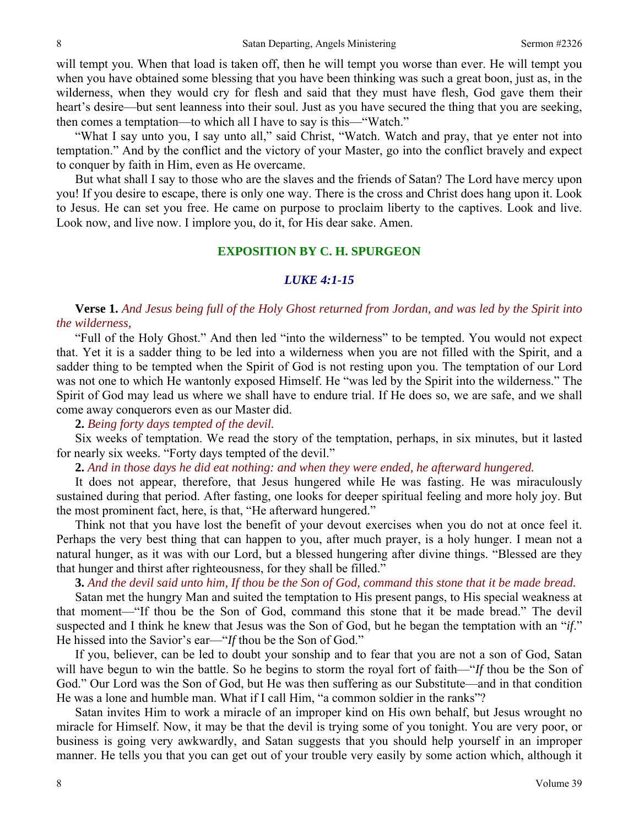will tempt you. When that load is taken off, then he will tempt you worse than ever. He will tempt you when you have obtained some blessing that you have been thinking was such a great boon, just as, in the wilderness, when they would cry for flesh and said that they must have flesh, God gave them their heart's desire—but sent leanness into their soul. Just as you have secured the thing that you are seeking, then comes a temptation—to which all I have to say is this—"Watch."

"What I say unto you, I say unto all," said Christ, "Watch. Watch and pray, that ye enter not into temptation." And by the conflict and the victory of your Master, go into the conflict bravely and expect to conquer by faith in Him, even as He overcame.

But what shall I say to those who are the slaves and the friends of Satan? The Lord have mercy upon you! If you desire to escape, there is only one way. There is the cross and Christ does hang upon it. Look to Jesus. He can set you free. He came on purpose to proclaim liberty to the captives. Look and live. Look now, and live now. I implore you, do it, for His dear sake. Amen.

#### **EXPOSITION BY C. H. SPURGEON**

#### *LUKE 4:1-15*

**Verse 1.** *And Jesus being full of the Holy Ghost returned from Jordan, and was led by the Spirit into the wilderness,* 

"Full of the Holy Ghost." And then led "into the wilderness" to be tempted. You would not expect that. Yet it is a sadder thing to be led into a wilderness when you are not filled with the Spirit, and a sadder thing to be tempted when the Spirit of God is not resting upon you. The temptation of our Lord was not one to which He wantonly exposed Himself. He "was led by the Spirit into the wilderness." The Spirit of God may lead us where we shall have to endure trial. If He does so, we are safe, and we shall come away conquerors even as our Master did.

## **2.** *Being forty days tempted of the devil.*

Six weeks of temptation. We read the story of the temptation, perhaps, in six minutes, but it lasted for nearly six weeks. "Forty days tempted of the devil."

**2.** *And in those days he did eat nothing: and when they were ended, he afterward hungered.* 

It does not appear, therefore, that Jesus hungered while He was fasting. He was miraculously sustained during that period. After fasting, one looks for deeper spiritual feeling and more holy joy. But the most prominent fact, here, is that, "He afterward hungered."

Think not that you have lost the benefit of your devout exercises when you do not at once feel it. Perhaps the very best thing that can happen to you, after much prayer, is a holy hunger. I mean not a natural hunger, as it was with our Lord, but a blessed hungering after divine things. "Blessed are they that hunger and thirst after righteousness, for they shall be filled."

## **3.** *And the devil said unto him, If thou be the Son of God, command this stone that it be made bread.*

Satan met the hungry Man and suited the temptation to His present pangs, to His special weakness at that moment—"If thou be the Son of God, command this stone that it be made bread." The devil suspected and I think he knew that Jesus was the Son of God, but he began the temptation with an "*if*." He hissed into the Savior's ear—"*If* thou be the Son of God."

If you, believer, can be led to doubt your sonship and to fear that you are not a son of God, Satan will have begun to win the battle. So he begins to storm the royal fort of faith—"*If* thou be the Son of God." Our Lord was the Son of God, but He was then suffering as our Substitute—and in that condition He was a lone and humble man. What if I call Him, "a common soldier in the ranks"?

Satan invites Him to work a miracle of an improper kind on His own behalf, but Jesus wrought no miracle for Himself. Now, it may be that the devil is trying some of you tonight. You are very poor, or business is going very awkwardly, and Satan suggests that you should help yourself in an improper manner. He tells you that you can get out of your trouble very easily by some action which, although it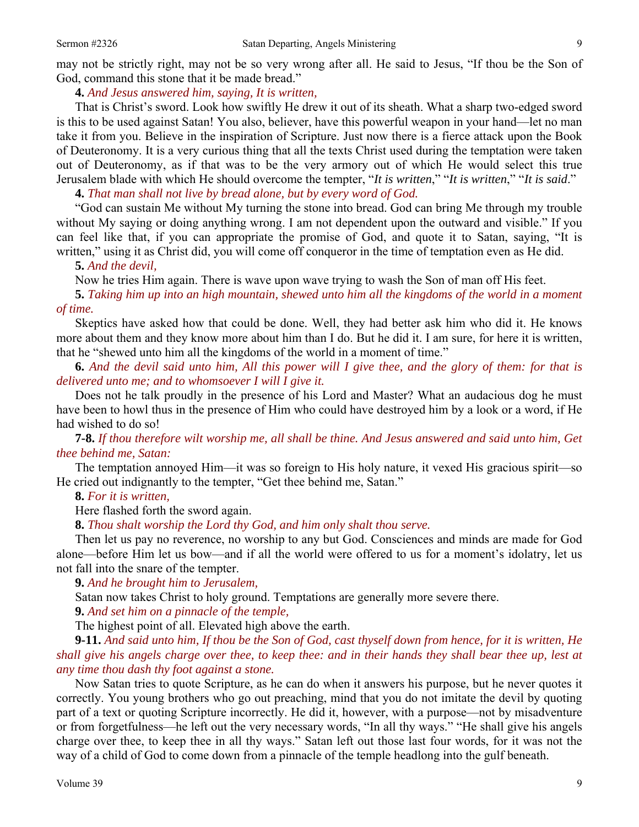may not be strictly right, may not be so very wrong after all. He said to Jesus, "If thou be the Son of God, command this stone that it be made bread."

### **4.** *And Jesus answered him, saying, It is written,*

That is Christ's sword. Look how swiftly He drew it out of its sheath. What a sharp two-edged sword is this to be used against Satan! You also, believer, have this powerful weapon in your hand—let no man take it from you. Believe in the inspiration of Scripture. Just now there is a fierce attack upon the Book of Deuteronomy. It is a very curious thing that all the texts Christ used during the temptation were taken out of Deuteronomy, as if that was to be the very armory out of which He would select this true Jerusalem blade with which He should overcome the tempter, "*It is written*," "*It is written*," "*It is said*."

**4.** *That man shall not live by bread alone, but by every word of God.* 

"God can sustain Me without My turning the stone into bread. God can bring Me through my trouble without My saying or doing anything wrong. I am not dependent upon the outward and visible." If you can feel like that, if you can appropriate the promise of God, and quote it to Satan, saying, "It is written," using it as Christ did, you will come off conqueror in the time of temptation even as He did.

#### **5.** *And the devil,*

Now he tries Him again. There is wave upon wave trying to wash the Son of man off His feet.

**5.** *Taking him up into an high mountain, shewed unto him all the kingdoms of the world in a moment of time.* 

Skeptics have asked how that could be done. Well, they had better ask him who did it. He knows more about them and they know more about him than I do. But he did it. I am sure, for here it is written, that he "shewed unto him all the kingdoms of the world in a moment of time."

**6.** *And the devil said unto him, All this power will I give thee, and the glory of them: for that is delivered unto me; and to whomsoever I will I give it.* 

Does not he talk proudly in the presence of his Lord and Master? What an audacious dog he must have been to howl thus in the presence of Him who could have destroyed him by a look or a word, if He had wished to do so!

**7-8.** *If thou therefore wilt worship me, all shall be thine. And Jesus answered and said unto him, Get thee behind me, Satan:* 

The temptation annoyed Him—it was so foreign to His holy nature, it vexed His gracious spirit—so He cried out indignantly to the tempter, "Get thee behind me, Satan."

**8.** *For it is written,* 

Here flashed forth the sword again.

**8.** *Thou shalt worship the Lord thy God, and him only shalt thou serve.* 

Then let us pay no reverence, no worship to any but God. Consciences and minds are made for God alone—before Him let us bow—and if all the world were offered to us for a moment's idolatry, let us not fall into the snare of the tempter.

**9.** *And he brought him to Jerusalem,* 

Satan now takes Christ to holy ground. Temptations are generally more severe there.

**9.** *And set him on a pinnacle of the temple,* 

The highest point of all. Elevated high above the earth.

**9-11.** *And said unto him, If thou be the Son of God, cast thyself down from hence, for it is written, He shall give his angels charge over thee, to keep thee: and in their hands they shall bear thee up, lest at any time thou dash thy foot against a stone.* 

Now Satan tries to quote Scripture, as he can do when it answers his purpose, but he never quotes it correctly. You young brothers who go out preaching, mind that you do not imitate the devil by quoting part of a text or quoting Scripture incorrectly. He did it, however, with a purpose—not by misadventure or from forgetfulness—he left out the very necessary words, "In all thy ways." "He shall give his angels charge over thee, to keep thee in all thy ways." Satan left out those last four words, for it was not the way of a child of God to come down from a pinnacle of the temple headlong into the gulf beneath.